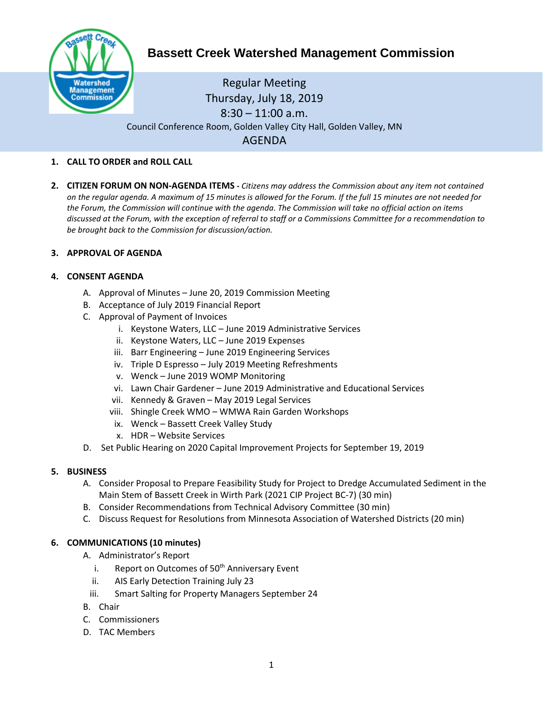

# Regular Meeting Thursday, July 18, 2019  $8:30 - 11:00$  a.m. Council Conference Room, Golden Valley City Hall, Golden Valley, MN AGENDA

# **1. CALL TO ORDER and ROLL CALL**

**2. CITIZEN FORUM ON NON-AGENDA ITEMS -** *Citizens may address the Commission about any item not contained on the regular agenda. A maximum of 15 minutes is allowed for the Forum. If the full 15 minutes are not needed for the Forum, the Commission will continue with the agenda. The Commission will take no official action on items discussed at the Forum, with the exception of referral to staff or a Commissions Committee for a recommendation to be brought back to the Commission for discussion/action.*

## **3. APPROVAL OF AGENDA**

## **4. CONSENT AGENDA**

- A. Approval of Minutes June 20, 2019 Commission Meeting
- B. Acceptance of July 2019 Financial Report
- C. Approval of Payment of Invoices
	- i. Keystone Waters, LLC June 2019 Administrative Services
	- ii. Keystone Waters, LLC June 2019 Expenses
	- iii. Barr Engineering June 2019 Engineering Services
	- iv. Triple D Espresso July 2019 Meeting Refreshments
	- v. Wenck June 2019 WOMP Monitoring
	- vi. Lawn Chair Gardener June 2019 Administrative and Educational Services
	- vii. Kennedy & Graven May 2019 Legal Services
	- viii. Shingle Creek WMO WMWA Rain Garden Workshops
	- ix. Wenck Bassett Creek Valley Study
	- x. HDR Website Services
- D. Set Public Hearing on 2020 Capital Improvement Projects for September 19, 2019

#### **5. BUSINESS**

- A. Consider Proposal to Prepare Feasibility Study for Project to Dredge Accumulated Sediment in the Main Stem of Bassett Creek in Wirth Park (2021 CIP Project BC-7) (30 min)
- B. Consider Recommendations from Technical Advisory Committee (30 min)
- C. Discuss Request for Resolutions from Minnesota Association of Watershed Districts (20 min)

## **6. COMMUNICATIONS (10 minutes)**

- A. Administrator's Report
	- i. Report on Outcomes of  $50<sup>th</sup>$  Anniversary Event
	- ii. AIS Early Detection Training July 23
	- iii. Smart Salting for Property Managers September 24
- B. Chair
- C. Commissioners
- D. TAC Members